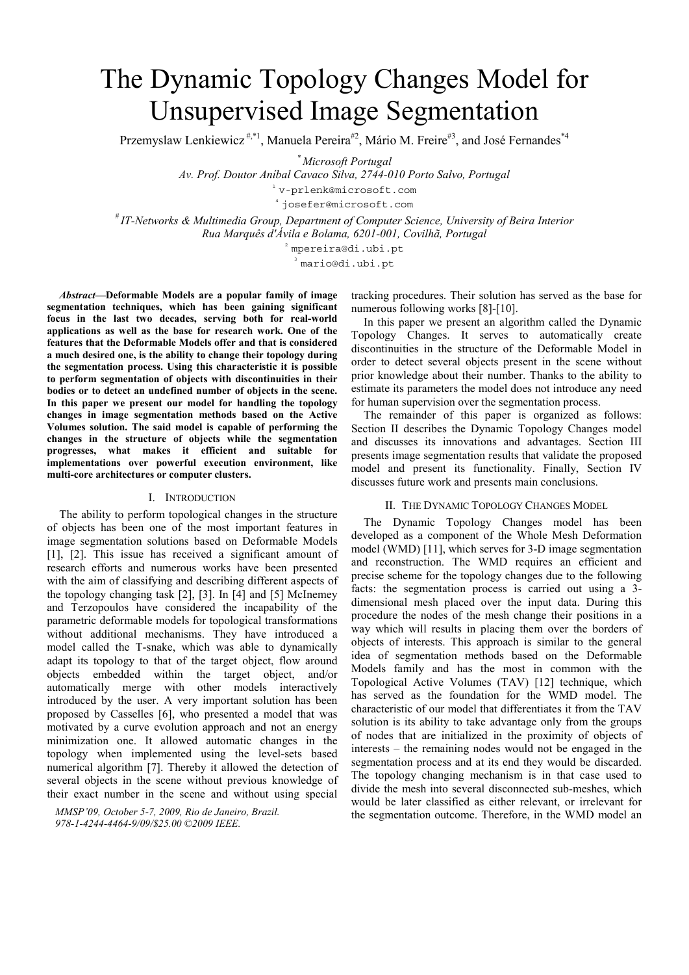# The Dynamic Topology Changes Model for Unsupervised Image Segmentation

Przemyslaw Lenkiewicz<sup>#,\*1</sup>, Manuela Pereira<sup>#2</sup>, Mário M. Freire<sup>#3</sup>, and José Fernandes<sup>\*4</sup>

*\* Microsoft Portugal* 

*Av. Prof. Doutor Aníbal Cavaco Silva, 2744-010 Porto Salvo, Portugal* 

1 v-prlenk@microsoft.com

4 josefer@microsoft.com

*# IT-Networks & Multimedia Group, Department of Computer Science, University of Beira Interior* 

*Rua Marquês d'Ávila e Bolama, 6201-001, Covilhã, Portugal* 

2 mpereira@di.ubi.pt

3 mario@di.ubi.pt

*Abstract***—Deformable Models are a popular family of image segmentation techniques, which has been gaining significant focus in the last two decades, serving both for real-world applications as well as the base for research work. One of the features that the Deformable Models offer and that is considered a much desired one, is the ability to change their topology during the segmentation process. Using this characteristic it is possible to perform segmentation of objects with discontinuities in their bodies or to detect an undefined number of objects in the scene. In this paper we present our model for handling the topology changes in image segmentation methods based on the Active Volumes solution. The said model is capable of performing the changes in the structure of objects while the segmentation progresses, what makes it efficient and suitable for implementations over powerful execution environment, like multi-core architectures or computer clusters.** 

#### I. INTRODUCTION

The ability to perform topological changes in the structure of objects has been one of the most important features in image segmentation solutions based on Deformable Models [1], [2]. This issue has received a significant amount of research efforts and numerous works have been presented with the aim of classifying and describing different aspects of the topology changing task [2], [3]. In [4] and [5] McInemey and Terzopoulos have considered the incapability of the parametric deformable models for topological transformations without additional mechanisms. They have introduced a model called the T-snake, which was able to dynamically adapt its topology to that of the target object, flow around objects embedded within the target object, and/or automatically merge with other models interactively introduced by the user. A very important solution has been proposed by Casselles [6], who presented a model that was motivated by a curve evolution approach and not an energy minimization one. It allowed automatic changes in the topology when implemented using the level-sets based numerical algorithm [7]. Thereby it allowed the detection of several objects in the scene without previous knowledge of their exact number in the scene and without using special

*MMSP'09, October 5-7, 2009, Rio de Janeiro, Brazil.* the segmentation outcome. Therefore, in the WMD model an *978-1-4244-4464-9/09/\$25.00* ©*2009 IEEE.*

tracking procedures. Their solution has served as the base for numerous following works [8]-[10].

In this paper we present an algorithm called the Dynamic Topology Changes. It serves to automatically create discontinuities in the structure of the Deformable Model in order to detect several objects present in the scene without prior knowledge about their number. Thanks to the ability to estimate its parameters the model does not introduce any need for human supervision over the segmentation process.

The remainder of this paper is organized as follows: Section II describes the Dynamic Topology Changes model and discusses its innovations and advantages. Section III presents image segmentation results that validate the proposed model and present its functionality. Finally, Section IV discusses future work and presents main conclusions.

#### II. THE DYNAMIC TOPOLOGY CHANGES MODEL

The Dynamic Topology Changes model has been developed as a component of the Whole Mesh Deformation model (WMD) [11], which serves for 3-D image segmentation and reconstruction. The WMD requires an efficient and precise scheme for the topology changes due to the following facts: the segmentation process is carried out using a 3 dimensional mesh placed over the input data. During this procedure the nodes of the mesh change their positions in a way which will results in placing them over the borders of objects of interests. This approach is similar to the general idea of segmentation methods based on the Deformable Models family and has the most in common with the Topological Active Volumes (TAV) [12] technique, which has served as the foundation for the WMD model. The characteristic of our model that differentiates it from the TAV solution is its ability to take advantage only from the groups of nodes that are initialized in the proximity of objects of interests – the remaining nodes would not be engaged in the segmentation process and at its end they would be discarded. The topology changing mechanism is in that case used to divide the mesh into several disconnected sub-meshes, which would be later classified as either relevant, or irrelevant for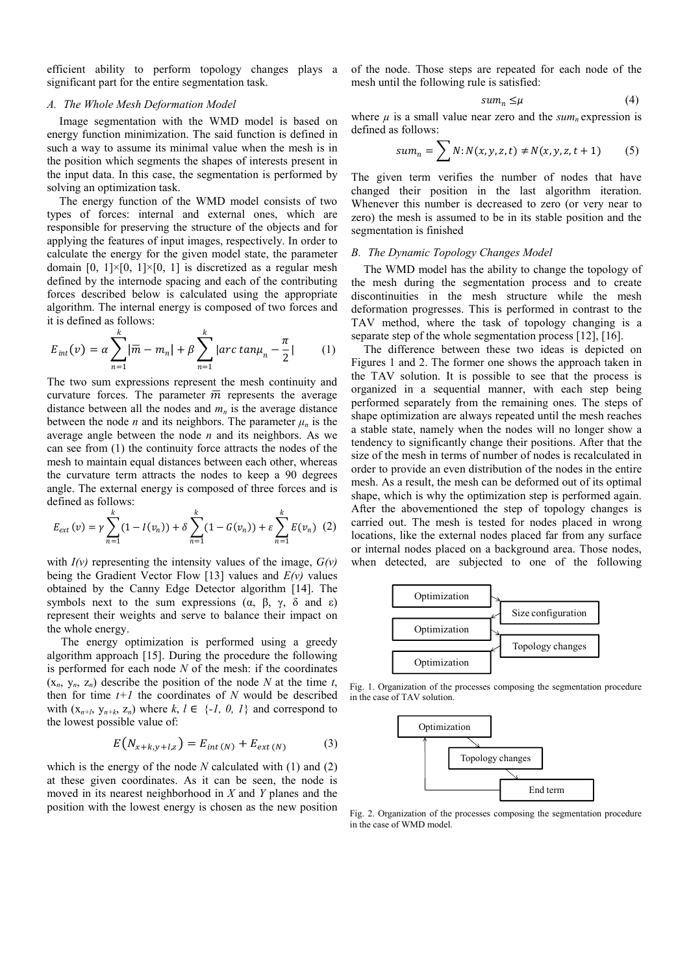efficient ability to perform topology changes plays a significant part for the entire segmentation task.

# *A. The Whole Mesh Deformation Model*

Image segmentation with the WMD model is based on energy function minimization. The said function is defined in such a way to assume its minimal value when the mesh is in the position which segments the shapes of interests present in the input data. In this case, the segmentation is performed by solving an optimization task.

The energy function of the WMD model consists of two types of forces: internal and external ones, which are responsible for preserving the structure of the objects and for applying the features of input images, respectively. In order to calculate the energy for the given model state, the parameter domain  $[0, 1] \times [0, 1] \times [0, 1]$  is discretized as a regular mesh defined by the internode spacing and each of the contributing forces described below is calculated using the appropriate algorithm. The internal energy is composed of two forces and it is defined as follows:

$$
E_{int}(v) = \alpha \sum_{n=1}^{k} |\overline{m} - m_n| + \beta \sum_{n=1}^{k} |arctan\mu_n - \frac{\pi}{2}| \qquad (1)
$$

The two sum expressions represent the mesh continuity and curvature forces. The parameter  $\overline{m}$  represents the average distance between all the nodes and  $m<sub>n</sub>$  is the average distance between the node *n* and its neighbors. The parameter  $\mu_n$  is the average angle between the node *n* and its neighbors. As we can see from (1) the continuity force attracts the nodes of the mesh to maintain equal distances between each other, whereas the curvature term attracts the nodes to keep a 90 degrees angle. The external energy is composed of three forces and is defined as follows:

$$
E_{ext}(v) = \gamma \sum_{n=1}^{k} (1 - I(v_n)) + \delta \sum_{n=1}^{k} (1 - G(v_n)) + \varepsilon \sum_{n=1}^{k} E(v_n) \tag{2}
$$

with  $I(v)$  representing the intensity values of the image,  $G(v)$ being the Gradient Vector Flow [13] values and *E(v)* values obtained by the Canny Edge Detector algorithm [14]. The symbols next to the sum expressions  $(α, β, γ, δ$  and ε) represent their weights and serve to balance their impact on the whole energy.

The energy optimization is performed using a greedy algorithm approach [15]. During the procedure the following is performed for each node *N* of the mesh: if the coordinates  $(x_n, y_n, z_n)$  describe the position of the node N at the time *t*, then for time  $t+1$  the coordinates of *N* would be described with  $(x_{n+l}, y_{n+k}, z_n)$  where  $k, l \in \{-l, 0, l\}$  and correspond to the lowest possible value of:

$$
E(N_{x+k,y+l,z}) = E_{int(N)} + E_{ext(N)}
$$
 (3)

which is the energy of the node *N* calculated with (1) and (2) at these given coordinates. As it can be seen, the node is moved in its nearest neighborhood in *X* and *Y* planes and the position with the lowest energy is chosen as the new position

of the node. Those steps are repeated for each node of the mesh until the following rule is satisfied:

$$
sum_n \leq \mu
$$

(4)

where  $\mu$  is a small value near zero and the  $sum_n$  expression is defined as follows:

$$
sum_n = \sum N: N(x, y, z, t) \neq N(x, y, z, t + 1)
$$
 (5)

The given term verifies the number of nodes that have changed their position in the last algorithm iteration. Whenever this number is decreased to zero (or very near to zero) the mesh is assumed to be in its stable position and the segmentation is finished

# *B. The Dynamic Topology Changes Model*

The WMD model has the ability to change the topology of the mesh during the segmentation process and to create discontinuities in the mesh structure while the mesh deformation progresses. This is performed in contrast to the TAV method, where the task of topology changing is a separate step of the whole segmentation process [12], [16].

The difference between these two ideas is depicted on Figures 1 and 2. The former one shows the approach taken in the TAV solution. It is possible to see that the process is organized in a sequential manner, with each step being performed separately from the remaining ones. The steps of shape optimization are always repeated until the mesh reaches a stable state, namely when the nodes will no longer show a tendency to significantly change their positions. After that the size of the mesh in terms of number of nodes is recalculated in order to provide an even distribution of the nodes in the entire mesh. As a result, the mesh can be deformed out of its optimal shape, which is why the optimization step is performed again. After the abovementioned the step of topology changes is carried out. The mesh is tested for nodes placed in wrong locations, like the external nodes placed far from any surface or internal nodes placed on a background area. Those nodes, when detected, are subjected to one of the following



Fig. 1. Organization of the processes composing the segmentation procedure in the case of TAV solution.



Fig. 2. Organization of the processes composing the segmentation procedure in the case of WMD model.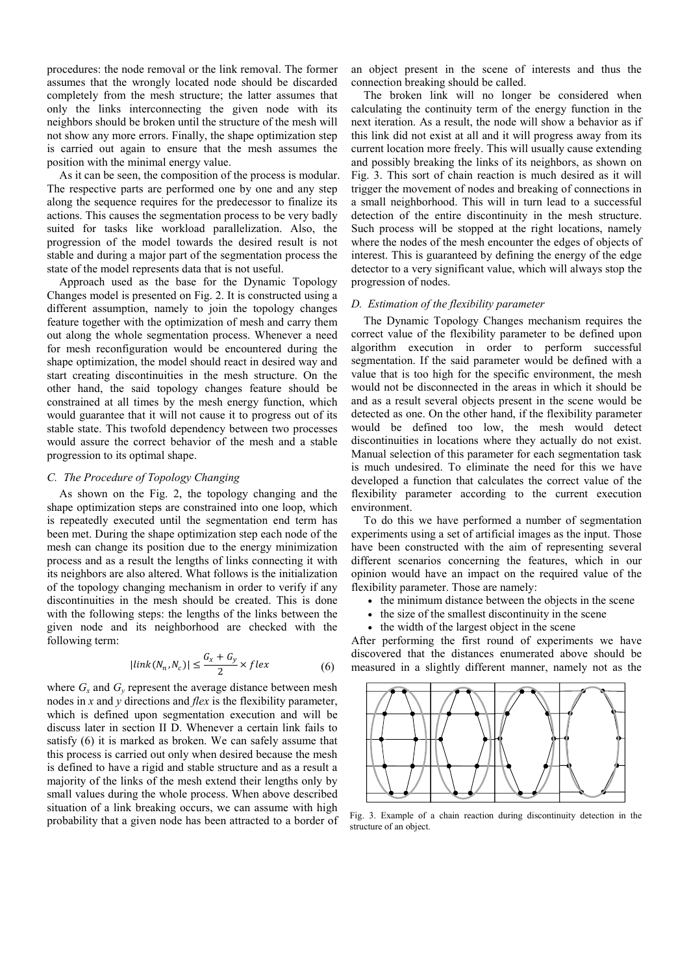procedures: the node removal or the link removal. The former assumes that the wrongly located node should be discarded completely from the mesh structure; the latter assumes that only the links interconnecting the given node with its neighbors should be broken until the structure of the mesh will not show any more errors. Finally, the shape optimization step is carried out again to ensure that the mesh assumes the position with the minimal energy value.

As it can be seen, the composition of the process is modular. The respective parts are performed one by one and any step along the sequence requires for the predecessor to finalize its actions. This causes the segmentation process to be very badly suited for tasks like workload parallelization. Also, the progression of the model towards the desired result is not stable and during a major part of the segmentation process the state of the model represents data that is not useful.

Approach used as the base for the Dynamic Topology Changes model is presented on Fig. 2. It is constructed using a different assumption, namely to join the topology changes feature together with the optimization of mesh and carry them out along the whole segmentation process. Whenever a need for mesh reconfiguration would be encountered during the shape optimization, the model should react in desired way and start creating discontinuities in the mesh structure. On the other hand, the said topology changes feature should be constrained at all times by the mesh energy function, which would guarantee that it will not cause it to progress out of its stable state. This twofold dependency between two processes would assure the correct behavior of the mesh and a stable progression to its optimal shape.

### *C. The Procedure of Topology Changing*

As shown on the Fig. 2, the topology changing and the shape optimization steps are constrained into one loop, which is repeatedly executed until the segmentation end term has been met. During the shape optimization step each node of the mesh can change its position due to the energy minimization process and as a result the lengths of links connecting it with its neighbors are also altered. What follows is the initialization of the topology changing mechanism in order to verify if any discontinuities in the mesh should be created. This is done with the following steps: the lengths of the links between the given node and its neighborhood are checked with the following term:

$$
|link(N_n, N_c)| \leq \frac{G_x + G_y}{2} \times flex \qquad (6)
$$

where  $G_x$  and  $G_y$  represent the average distance between mesh nodes in *x* and *y* directions and *flex* is the flexibility parameter, which is defined upon segmentation execution and will be discuss later in section II D. Whenever a certain link fails to satisfy (6) it is marked as broken. We can safely assume that this process is carried out only when desired because the mesh is defined to have a rigid and stable structure and as a result a majority of the links of the mesh extend their lengths only by small values during the whole process. When above described situation of a link breaking occurs, we can assume with high probability that a given node has been attracted to a border of an object present in the scene of interests and thus the connection breaking should be called.

The broken link will no longer be considered when calculating the continuity term of the energy function in the next iteration. As a result, the node will show a behavior as if this link did not exist at all and it will progress away from its current location more freely. This will usually cause extending and possibly breaking the links of its neighbors, as shown on Fig. 3. This sort of chain reaction is much desired as it will trigger the movement of nodes and breaking of connections in a small neighborhood. This will in turn lead to a successful detection of the entire discontinuity in the mesh structure. Such process will be stopped at the right locations, namely where the nodes of the mesh encounter the edges of objects of interest. This is guaranteed by defining the energy of the edge detector to a very significant value, which will always stop the progression of nodes.

### *D. Estimation of the flexibility parameter*

The Dynamic Topology Changes mechanism requires the correct value of the flexibility parameter to be defined upon algorithm execution in order to perform successful segmentation. If the said parameter would be defined with a value that is too high for the specific environment, the mesh would not be disconnected in the areas in which it should be and as a result several objects present in the scene would be detected as one. On the other hand, if the flexibility parameter would be defined too low, the mesh would detect discontinuities in locations where they actually do not exist. Manual selection of this parameter for each segmentation task is much undesired. To eliminate the need for this we have developed a function that calculates the correct value of the flexibility parameter according to the current execution environment.

To do this we have performed a number of segmentation experiments using a set of artificial images as the input. Those have been constructed with the aim of representing several different scenarios concerning the features, which in our opinion would have an impact on the required value of the flexibility parameter. Those are namely:

- the minimum distance between the objects in the scene
- the size of the smallest discontinuity in the scene
- the width of the largest object in the scene

After performing the first round of experiments we have discovered that the distances enumerated above should be measured in a slightly different manner, namely not as the



Fig. 3. Example of a chain reaction during discontinuity detection in the structure of an object.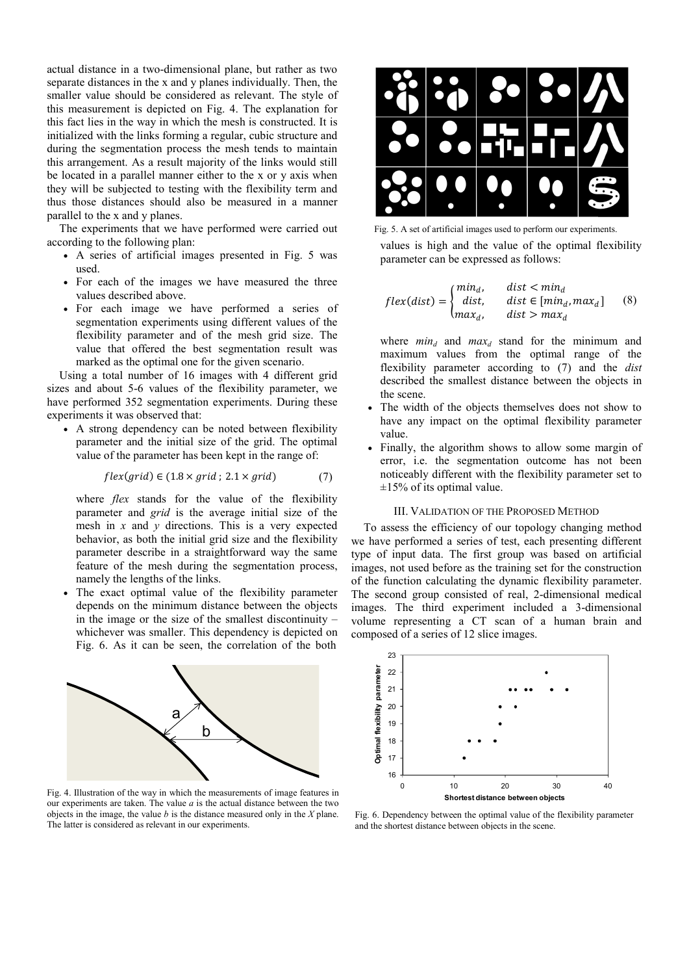actual distance in a two-dimensional plane, but rather as two separate distances in the x and y planes individually. Then, the smaller value should be considered as relevant. The style of this measurement is depicted on Fig. 4. The explanation for this fact lies in the way in which the mesh is constructed. It is initialized with the links forming a regular, cubic structure and during the segmentation process the mesh tends to maintain this arrangement. As a result majority of the links would still be located in a parallel manner either to the x or y axis when they will be subjected to testing with the flexibility term and thus those distances should also be measured in a manner parallel to the x and y planes.

The experiments that we have performed were carried out according to the following plan:

- A series of artificial images presented in Fig. 5 was used.
- For each of the images we have measured the three values described above.
- For each image we have performed a series of segmentation experiments using different values of the flexibility parameter and of the mesh grid size. The value that offered the best segmentation result was marked as the optimal one for the given scenario.

Using a total number of 16 images with 4 different grid sizes and about 5-6 values of the flexibility parameter, we have performed 352 segmentation experiments. During these experiments it was observed that:

• A strong dependency can be noted between flexibility parameter and the initial size of the grid. The optimal value of the parameter has been kept in the range of:

$$
flex(grid) \in (1.8 \times grid ; 2.1 \times grid)
$$
 (7)

where *flex* stands for the value of the flexibility parameter and *grid* is the average initial size of the mesh in *x* and *y* directions. This is a very expected behavior, as both the initial grid size and the flexibility parameter describe in a straightforward way the same feature of the mesh during the segmentation process, namely the lengths of the links.

The exact optimal value of the flexibility parameter depends on the minimum distance between the objects in the image or the size of the smallest discontinuity – whichever was smaller. This dependency is depicted on Fig. 6. As it can be seen, the correlation of the both



Fig. 4. Illustration of the way in which the measurements of image features in our experiments are taken. The value  $a$  is the actual distance between the two objects in the image, the value *b* is the distance measured only in the *X* plane. The latter is considered as relevant in our experiments.



Fig. 5. A set of artificial images used to perform our experiments. values is high and the value of the optimal flexibility parameter can be expressed as follows:

$$
flex(dist) = \begin{cases} min_d, & dist < min_d \\ dist, & dist \in [min_d, max_d] \\ max_d, & dist > max_d \end{cases}
$$
 (8)

where  $min_d$  and  $max_d$  stand for the minimum and maximum values from the optimal range of the flexibility parameter according to (7) and the *dist* described the smallest distance between the objects in the scene.

- The width of the objects themselves does not show to have any impact on the optimal flexibility parameter value.
- Finally, the algorithm shows to allow some margin of error, i.e. the segmentation outcome has not been noticeably different with the flexibility parameter set to  $\pm 15\%$  of its optimal value.

#### III. VALIDATION OF THE PROPOSED METHOD

To assess the efficiency of our topology changing method we have performed a series of test, each presenting different type of input data. The first group was based on artificial images, not used before as the training set for the construction of the function calculating the dynamic flexibility parameter. The second group consisted of real, 2-dimensional medical images. The third experiment included a 3-dimensional volume representing a CT scan of a human brain and composed of a series of 12 slice images.



Fig. 6. Dependency between the optimal value of the flexibility parameter and the shortest distance between objects in the scene.